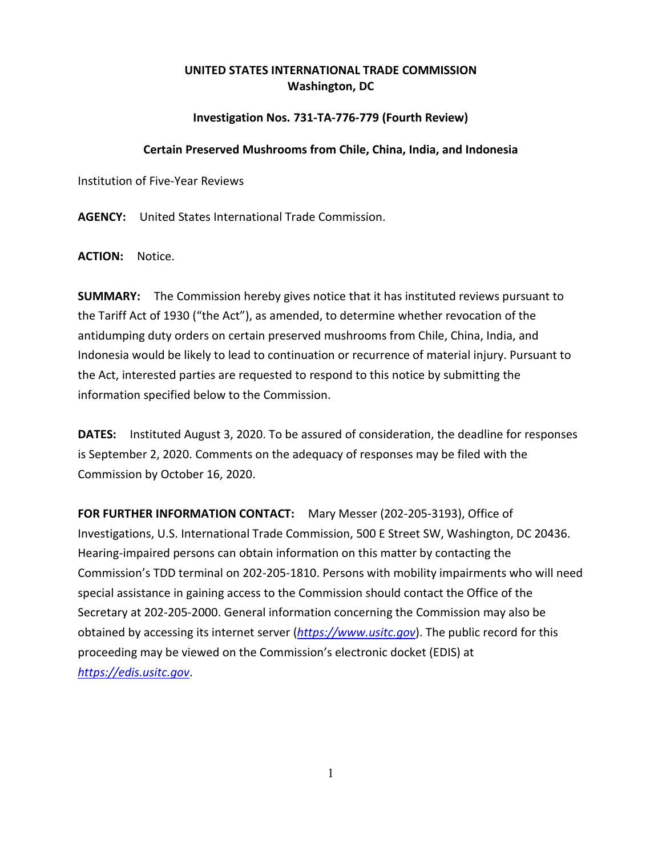## **UNITED STATES INTERNATIONAL TRADE COMMISSION Washington, DC**

## **Investigation Nos. 731-TA-776-779 (Fourth Review)**

## **Certain Preserved Mushrooms from Chile, China, India, and Indonesia**

Institution of Five-Year Reviews

**AGENCY:** United States International Trade Commission.

**ACTION:** Notice.

**SUMMARY:** The Commission hereby gives notice that it has instituted reviews pursuant to the Tariff Act of 1930 ("the Act"), as amended, to determine whether revocation of the antidumping duty orders on certain preserved mushrooms from Chile, China, India, and Indonesia would be likely to lead to continuation or recurrence of material injury. Pursuant to the Act, interested parties are requested to respond to this notice by submitting the information specified below to the Commission.

**DATES:** Instituted August 3, 2020. To be assured of consideration, the deadline for responses is September 2, 2020. Comments on the adequacy of responses may be filed with the Commission by October 16, 2020.

**FOR FURTHER INFORMATION CONTACT:** Mary Messer (202-205-3193), Office of Investigations, U.S. International Trade Commission, 500 E Street SW, Washington, DC 20436. Hearing-impaired persons can obtain information on this matter by contacting the Commission's TDD terminal on 202-205-1810. Persons with mobility impairments who will need special assistance in gaining access to the Commission should contact the Office of the Secretary at 202-205-2000. General information concerning the Commission may also be obtained by accessing its internet server (*[https://www.usitc.gov](https://www.usitc.gov/)*). The public record for this proceeding may be viewed on the Commission's electronic docket (EDIS) at *[https://edis.usitc.gov](https://edis.usitc.gov/)*.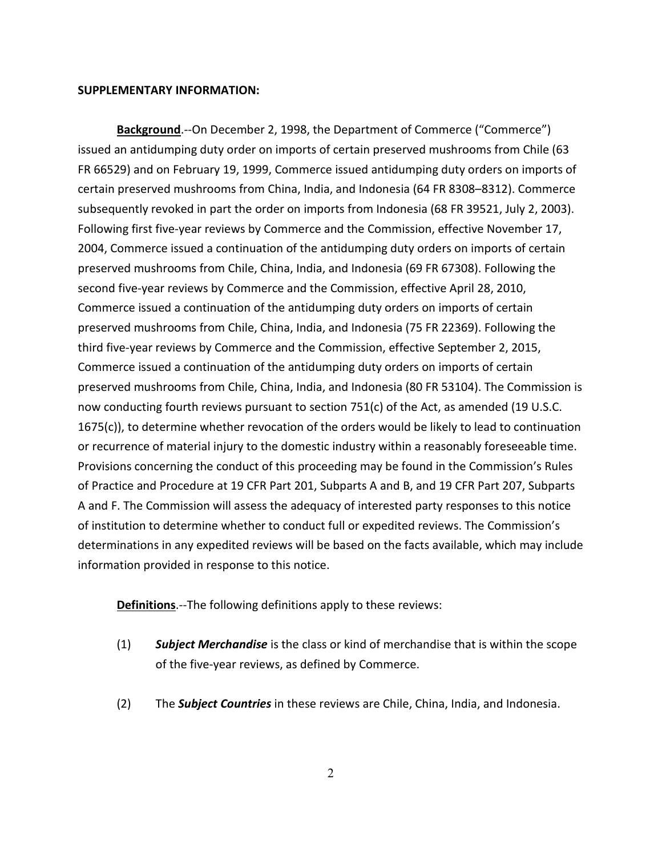## **SUPPLEMENTARY INFORMATION:**

**Background**.--On December 2, 1998, the Department of Commerce ("Commerce") issued an antidumping duty order on imports of certain preserved mushrooms from Chile (63 FR 66529) and on February 19, 1999, Commerce issued antidumping duty orders on imports of certain preserved mushrooms from China, India, and Indonesia (64 FR 8308–8312). Commerce subsequently revoked in part the order on imports from Indonesia (68 FR 39521, July 2, 2003). Following first five-year reviews by Commerce and the Commission, effective November 17, 2004, Commerce issued a continuation of the antidumping duty orders on imports of certain preserved mushrooms from Chile, China, India, and Indonesia (69 FR 67308). Following the second five-year reviews by Commerce and the Commission, effective April 28, 2010, Commerce issued a continuation of the antidumping duty orders on imports of certain preserved mushrooms from Chile, China, India, and Indonesia (75 FR 22369). Following the third five-year reviews by Commerce and the Commission, effective September 2, 2015, Commerce issued a continuation of the antidumping duty orders on imports of certain preserved mushrooms from Chile, China, India, and Indonesia (80 FR 53104). The Commission is now conducting fourth reviews pursuant to section 751(c) of the Act, as amended (19 U.S.C. 1675(c)), to determine whether revocation of the orders would be likely to lead to continuation or recurrence of material injury to the domestic industry within a reasonably foreseeable time. Provisions concerning the conduct of this proceeding may be found in the Commission's Rules of Practice and Procedure at 19 CFR Part 201, Subparts A and B, and 19 CFR Part 207, Subparts A and F. The Commission will assess the adequacy of interested party responses to this notice of institution to determine whether to conduct full or expedited reviews. The Commission's determinations in any expedited reviews will be based on the facts available, which may include information provided in response to this notice.

**Definitions**.--The following definitions apply to these reviews:

- (1) *Subject Merchandise* is the class or kind of merchandise that is within the scope of the five-year reviews, as defined by Commerce.
- (2) The *Subject Countries* in these reviews are Chile, China, India, and Indonesia.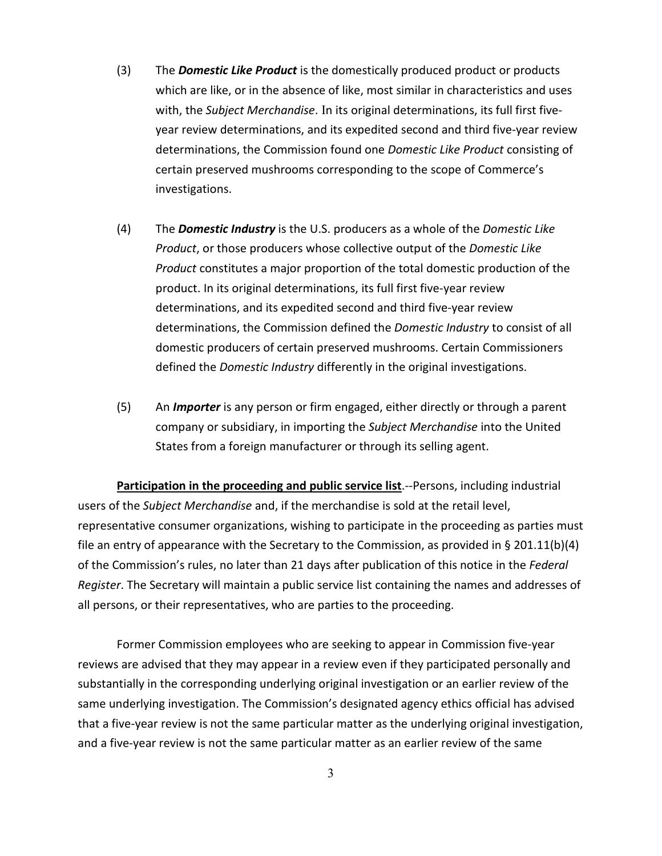- (3) The *Domestic Like Product* is the domestically produced product or products which are like, or in the absence of like, most similar in characteristics and uses with, the *Subject Merchandise*. In its original determinations, its full first fiveyear review determinations, and its expedited second and third five-year review determinations, the Commission found one *Domestic Like Product* consisting of certain preserved mushrooms corresponding to the scope of Commerce's investigations.
- (4) The *Domestic Industry* is the U.S. producers as a whole of the *Domestic Like Product*, or those producers whose collective output of the *Domestic Like Product* constitutes a major proportion of the total domestic production of the product. In its original determinations, its full first five-year review determinations, and its expedited second and third five-year review determinations, the Commission defined the *Domestic Industry* to consist of all domestic producers of certain preserved mushrooms. Certain Commissioners defined the *Domestic Industry* differently in the original investigations.
- (5) An *Importer* is any person or firm engaged, either directly or through a parent company or subsidiary, in importing the *Subject Merchandise* into the United States from a foreign manufacturer or through its selling agent.

**Participation in the proceeding and public service list**.--Persons, including industrial users of the *Subject Merchandise* and, if the merchandise is sold at the retail level, representative consumer organizations, wishing to participate in the proceeding as parties must file an entry of appearance with the Secretary to the Commission, as provided in § 201.11(b)(4) of the Commission's rules, no later than 21 days after publication of this notice in the *Federal Register*. The Secretary will maintain a public service list containing the names and addresses of all persons, or their representatives, who are parties to the proceeding.

Former Commission employees who are seeking to appear in Commission five-year reviews are advised that they may appear in a review even if they participated personally and substantially in the corresponding underlying original investigation or an earlier review of the same underlying investigation. The Commission's designated agency ethics official has advised that a five-year review is not the same particular matter as the underlying original investigation, and a five-year review is not the same particular matter as an earlier review of the same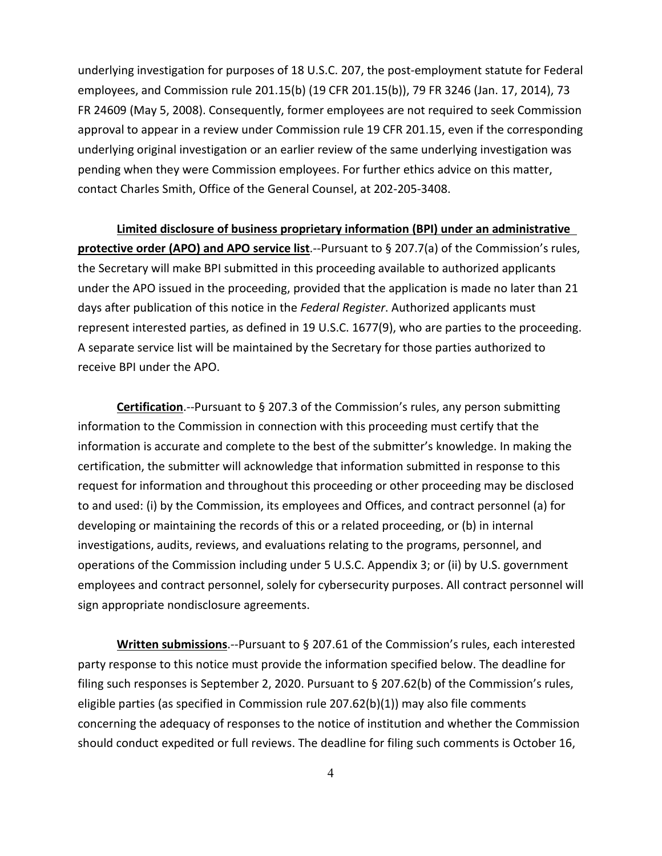underlying investigation for purposes of 18 U.S.C. 207, the post-employment statute for Federal employees, and Commission rule 201.15(b) (19 CFR 201.15(b)), 79 FR 3246 (Jan. 17, 2014), 73 FR 24609 (May 5, 2008). Consequently, former employees are not required to seek Commission approval to appear in a review under Commission rule 19 CFR 201.15, even if the corresponding underlying original investigation or an earlier review of the same underlying investigation was pending when they were Commission employees. For further ethics advice on this matter, contact Charles Smith, Office of the General Counsel, at 202-205-3408.

**Limited disclosure of business proprietary information (BPI) under an administrative protective order (APO) and APO service list**.--Pursuant to § 207.7(a) of the Commission's rules, the Secretary will make BPI submitted in this proceeding available to authorized applicants under the APO issued in the proceeding, provided that the application is made no later than 21 days after publication of this notice in the *Federal Register*. Authorized applicants must represent interested parties, as defined in 19 U.S.C. 1677(9), who are parties to the proceeding. A separate service list will be maintained by the Secretary for those parties authorized to receive BPI under the APO.

**Certification**.--Pursuant to § 207.3 of the Commission's rules, any person submitting information to the Commission in connection with this proceeding must certify that the information is accurate and complete to the best of the submitter's knowledge. In making the certification, the submitter will acknowledge that information submitted in response to this request for information and throughout this proceeding or other proceeding may be disclosed to and used: (i) by the Commission, its employees and Offices, and contract personnel (a) for developing or maintaining the records of this or a related proceeding, or (b) in internal investigations, audits, reviews, and evaluations relating to the programs, personnel, and operations of the Commission including under 5 U.S.C. Appendix 3; or (ii) by U.S. government employees and contract personnel, solely for cybersecurity purposes. All contract personnel will sign appropriate nondisclosure agreements.

**Written submissions**.--Pursuant to § 207.61 of the Commission's rules, each interested party response to this notice must provide the information specified below. The deadline for filing such responses is September 2, 2020. Pursuant to § 207.62(b) of the Commission's rules, eligible parties (as specified in Commission rule 207.62(b)(1)) may also file comments concerning the adequacy of responses to the notice of institution and whether the Commission should conduct expedited or full reviews. The deadline for filing such comments is October 16,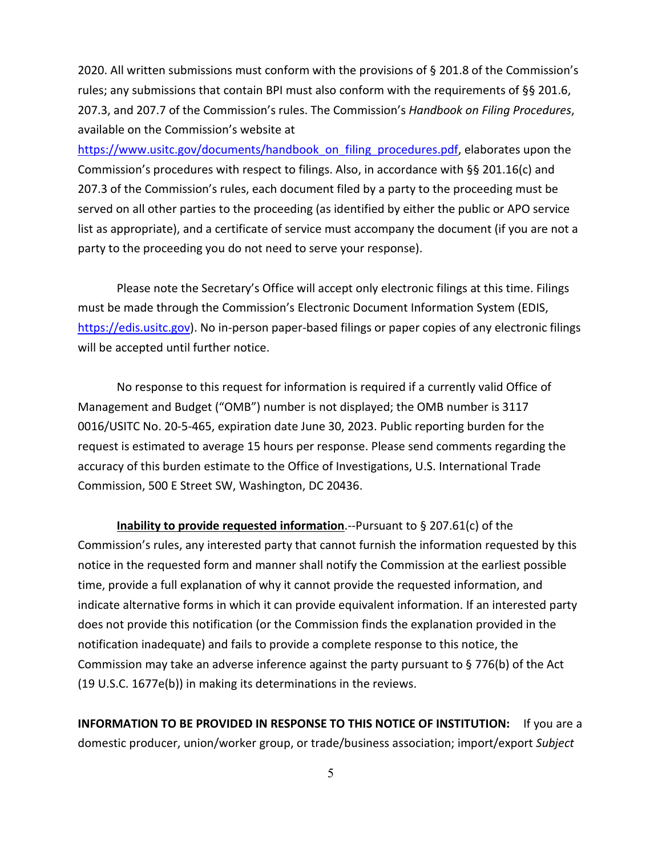2020. All written submissions must conform with the provisions of § 201.8 of the Commission's rules; any submissions that contain BPI must also conform with the requirements of §§ 201.6, 207.3, and 207.7 of the Commission's rules. The Commission's *Handbook on Filing Procedures*, available on the Commission's website at

[https://www.usitc.gov/documents/handbook\\_on\\_filing\\_procedures.pdf,](https://www.usitc.gov/documents/handbook_on_filing_procedures.pdf) elaborates upon the Commission's procedures with respect to filings. Also, in accordance with §§ 201.16(c) and 207.3 of the Commission's rules, each document filed by a party to the proceeding must be served on all other parties to the proceeding (as identified by either the public or APO service list as appropriate), and a certificate of service must accompany the document (if you are not a party to the proceeding you do not need to serve your response).

Please note the Secretary's Office will accept only electronic filings at this time. Filings must be made through the Commission's Electronic Document Information System (EDIS, [https://edis.usitc.gov\)](https://edis.usitc.gov/). No in-person paper-based filings or paper copies of any electronic filings will be accepted until further notice.

No response to this request for information is required if a currently valid Office of Management and Budget ("OMB") number is not displayed; the OMB number is 3117 0016/USITC No. 20-5-465, expiration date June 30, 2023. Public reporting burden for the request is estimated to average 15 hours per response. Please send comments regarding the accuracy of this burden estimate to the Office of Investigations, U.S. International Trade Commission, 500 E Street SW, Washington, DC 20436.

**Inability to provide requested information**.--Pursuant to § 207.61(c) of the Commission's rules, any interested party that cannot furnish the information requested by this notice in the requested form and manner shall notify the Commission at the earliest possible time, provide a full explanation of why it cannot provide the requested information, and indicate alternative forms in which it can provide equivalent information. If an interested party does not provide this notification (or the Commission finds the explanation provided in the notification inadequate) and fails to provide a complete response to this notice, the Commission may take an adverse inference against the party pursuant to § 776(b) of the Act (19 U.S.C. 1677e(b)) in making its determinations in the reviews.

**INFORMATION TO BE PROVIDED IN RESPONSE TO THIS NOTICE OF INSTITUTION:** If you are a domestic producer, union/worker group, or trade/business association; import/export *Subject*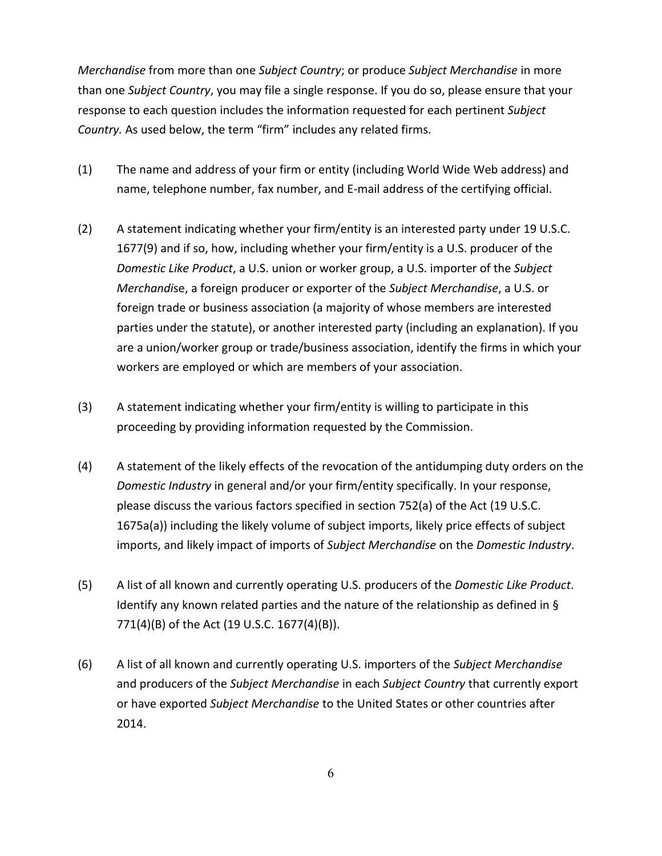*Merchandise* from more than one *Subject Country*; or produce *Subject Merchandise* in more than one *Subject Country*, you may file a single response. If you do so, please ensure that your response to each question includes the information requested for each pertinent *Subject Country.* As used below, the term "firm" includes any related firms.

- (1) The name and address of your firm or entity (including World Wide Web address) and name, telephone number, fax number, and E-mail address of the certifying official.
- (2) A statement indicating whether your firm/entity is an interested party under 19 U.S.C. 1677(9) and if so, how, including whether your firm/entity is a U.S. producer of the *Domestic Like Product*, a U.S. union or worker group, a U.S. importer of the *Subject Merchandi*se, a foreign producer or exporter of the *Subject Merchandise*, a U.S. or foreign trade or business association (a majority of whose members are interested parties under the statute), or another interested party (including an explanation). If you are a union/worker group or trade/business association, identify the firms in which your workers are employed or which are members of your association.
- (3) A statement indicating whether your firm/entity is willing to participate in this proceeding by providing information requested by the Commission.
- (4) A statement of the likely effects of the revocation of the antidumping duty orders on the *Domestic Industry* in general and/or your firm/entity specifically. In your response, please discuss the various factors specified in section 752(a) of the Act (19 U.S.C. 1675a(a)) including the likely volume of subject imports, likely price effects of subject imports, and likely impact of imports of *Subject Merchandise* on the *Domestic Industry*.
- (5) A list of all known and currently operating U.S. producers of the *Domestic Like Product*. Identify any known related parties and the nature of the relationship as defined in § 771(4)(B) of the Act (19 U.S.C. 1677(4)(B)).
- (6) A list of all known and currently operating U.S. importers of the *Subject Merchandise* and producers of the *Subject Merchandise* in each *Subject Country* that currently export or have exported *Subject Merchandise* to the United States or other countries after 2014.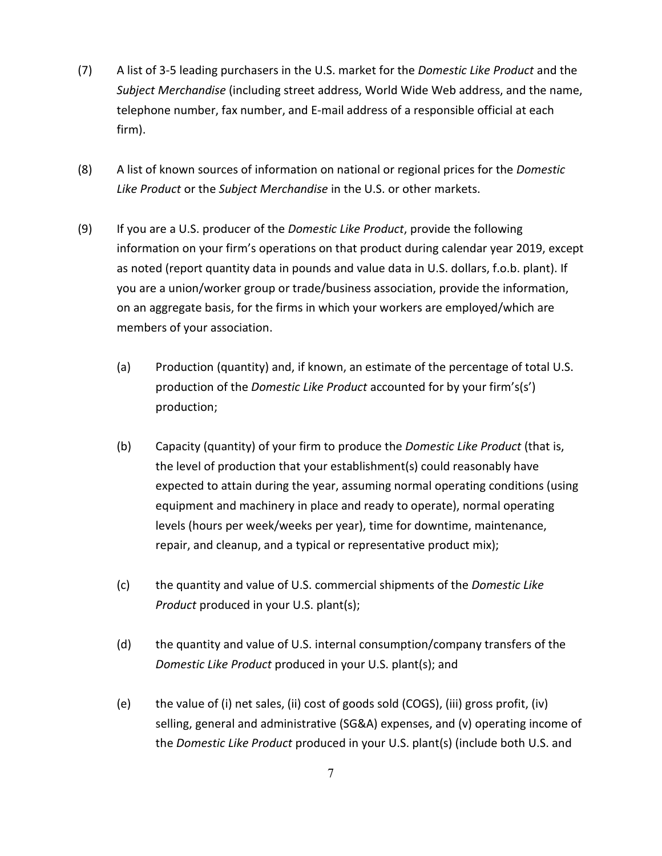- (7) A list of 3-5 leading purchasers in the U.S. market for the *Domestic Like Product* and the *Subject Merchandise* (including street address, World Wide Web address, and the name, telephone number, fax number, and E-mail address of a responsible official at each firm).
- (8) A list of known sources of information on national or regional prices for the *Domestic Like Product* or the *Subject Merchandise* in the U.S. or other markets.
- (9) If you are a U.S. producer of the *Domestic Like Product*, provide the following information on your firm's operations on that product during calendar year 2019, except as noted (report quantity data in pounds and value data in U.S. dollars, f.o.b. plant). If you are a union/worker group or trade/business association, provide the information, on an aggregate basis, for the firms in which your workers are employed/which are members of your association.
	- (a) Production (quantity) and, if known, an estimate of the percentage of total U.S. production of the *Domestic Like Product* accounted for by your firm's(s') production;
	- (b) Capacity (quantity) of your firm to produce the *Domestic Like Product* (that is, the level of production that your establishment(s) could reasonably have expected to attain during the year, assuming normal operating conditions (using equipment and machinery in place and ready to operate), normal operating levels (hours per week/weeks per year), time for downtime, maintenance, repair, and cleanup, and a typical or representative product mix);
	- (c) the quantity and value of U.S. commercial shipments of the *Domestic Like Product* produced in your U.S. plant(s);
	- (d) the quantity and value of U.S. internal consumption/company transfers of the *Domestic Like Product* produced in your U.S. plant(s); and
	- (e) the value of (i) net sales, (ii) cost of goods sold (COGS), (iii) gross profit, (iv) selling, general and administrative (SG&A) expenses, and (v) operating income of the *Domestic Like Product* produced in your U.S. plant(s) (include both U.S. and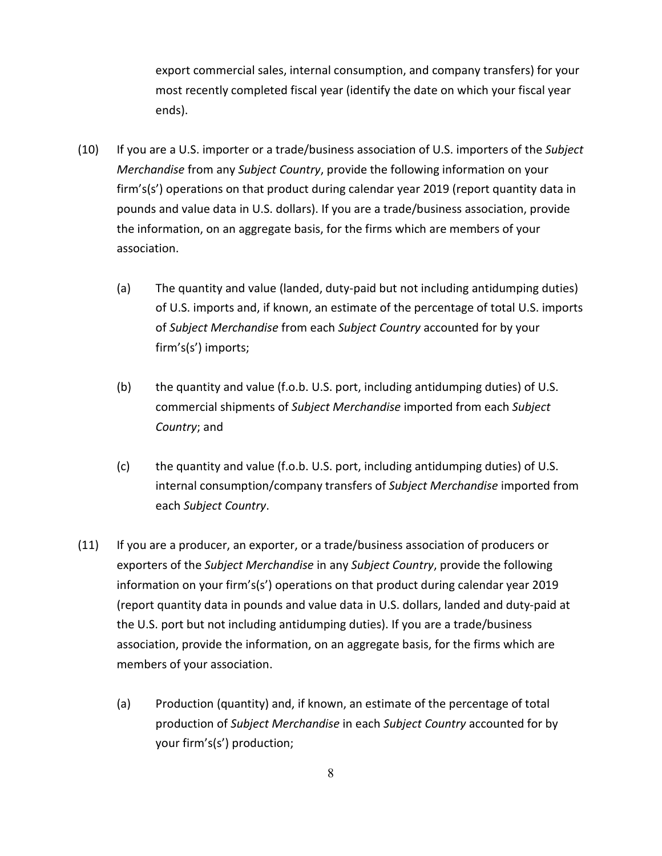export commercial sales, internal consumption, and company transfers) for your most recently completed fiscal year (identify the date on which your fiscal year ends).

- (10) If you are a U.S. importer or a trade/business association of U.S. importers of the *Subject Merchandise* from any *Subject Country*, provide the following information on your firm's(s') operations on that product during calendar year 2019 (report quantity data in pounds and value data in U.S. dollars). If you are a trade/business association, provide the information, on an aggregate basis, for the firms which are members of your association.
	- (a) The quantity and value (landed, duty-paid but not including antidumping duties) of U.S. imports and, if known, an estimate of the percentage of total U.S. imports of *Subject Merchandise* from each *Subject Country* accounted for by your firm's(s') imports;
	- (b) the quantity and value (f.o.b. U.S. port, including antidumping duties) of U.S. commercial shipments of *Subject Merchandise* imported from each *Subject Country*; and
	- (c) the quantity and value (f.o.b. U.S. port, including antidumping duties) of U.S. internal consumption/company transfers of *Subject Merchandise* imported from each *Subject Country*.
- (11) If you are a producer, an exporter, or a trade/business association of producers or exporters of the *Subject Merchandise* in any *Subject Country*, provide the following information on your firm's(s') operations on that product during calendar year 2019 (report quantity data in pounds and value data in U.S. dollars, landed and duty-paid at the U.S. port but not including antidumping duties). If you are a trade/business association, provide the information, on an aggregate basis, for the firms which are members of your association.
	- (a) Production (quantity) and, if known, an estimate of the percentage of total production of *Subject Merchandise* in each *Subject Country* accounted for by your firm's(s') production;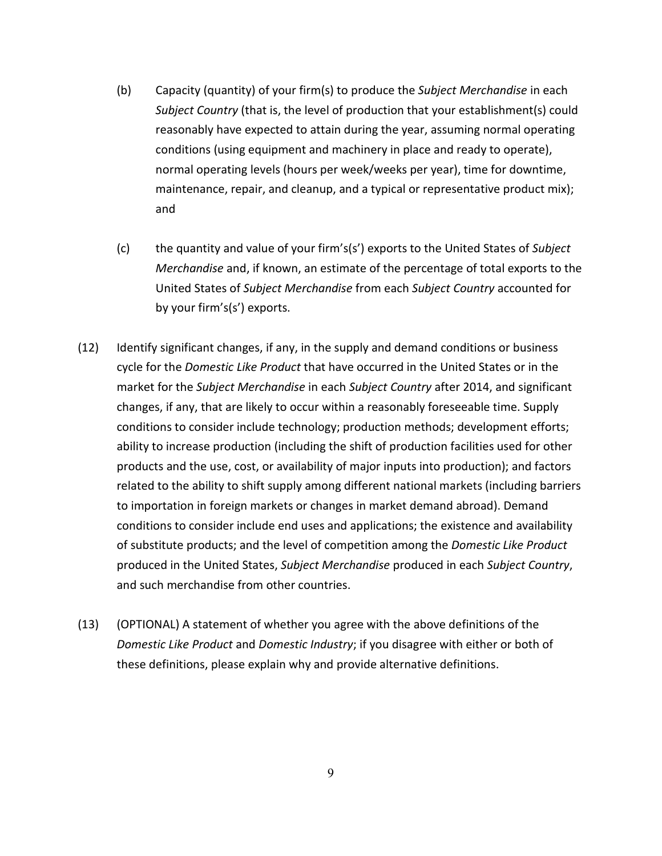- (b) Capacity (quantity) of your firm(s) to produce the *Subject Merchandise* in each *Subject Country* (that is, the level of production that your establishment(s) could reasonably have expected to attain during the year, assuming normal operating conditions (using equipment and machinery in place and ready to operate), normal operating levels (hours per week/weeks per year), time for downtime, maintenance, repair, and cleanup, and a typical or representative product mix); and
- (c) the quantity and value of your firm's(s') exports to the United States of *Subject Merchandise* and, if known, an estimate of the percentage of total exports to the United States of *Subject Merchandise* from each *Subject Country* accounted for by your firm's(s') exports.
- (12) Identify significant changes, if any, in the supply and demand conditions or business cycle for the *Domestic Like Product* that have occurred in the United States or in the market for the *Subject Merchandise* in each *Subject Country* after 2014, and significant changes, if any, that are likely to occur within a reasonably foreseeable time. Supply conditions to consider include technology; production methods; development efforts; ability to increase production (including the shift of production facilities used for other products and the use, cost, or availability of major inputs into production); and factors related to the ability to shift supply among different national markets (including barriers to importation in foreign markets or changes in market demand abroad). Demand conditions to consider include end uses and applications; the existence and availability of substitute products; and the level of competition among the *Domestic Like Product* produced in the United States, *Subject Merchandise* produced in each *Subject Country*, and such merchandise from other countries.
- (13) (OPTIONAL) A statement of whether you agree with the above definitions of the *Domestic Like Product* and *Domestic Industry*; if you disagree with either or both of these definitions, please explain why and provide alternative definitions.